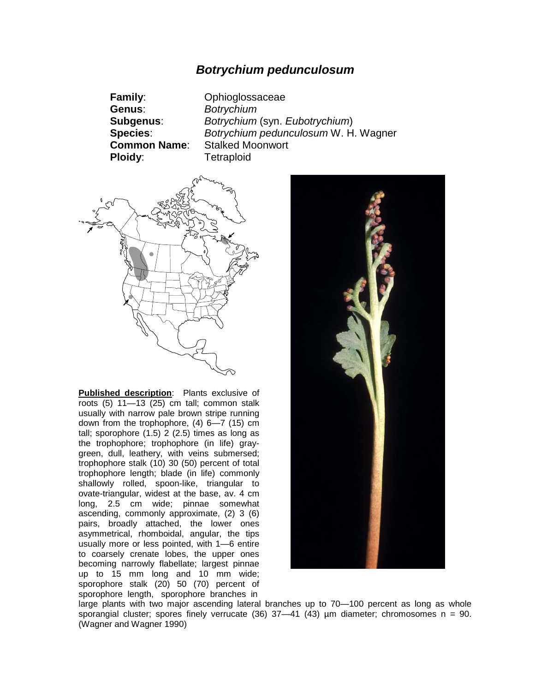## *Botrychium pedunculosum*

**Genus**: *Botrychium* **Ploidy:** Tetraploid

**Family**: Ophioglossaceae **Subgenus**: *Botrychium* (syn. *Eubotrychium*) **Species**: *Botrychium pedunculosum* W. H. Wagner **Common Name**: Stalked Moonwort



**Published description**: Plants exclusive of roots (5) 11—13 (25) cm tall; common stalk usually with narrow pale brown stripe running down from the trophophore, (4) 6—7 (15) cm tall; sporophore  $(1.5)$   $2$   $(2.5)$  times as long as the trophophore; trophophore (in life) graygreen, dull, leathery, with veins submersed; trophophore stalk (10) 30 (50) percent of total trophophore length; blade (in life) commonly shallowly rolled, spoon-like, triangular to ovate-triangular, widest at the base, av. 4 cm long, 2.5 cm wide; pinnae somewhat ascending, commonly approximate, (2) 3 (6) pairs, broadly attached, the lower ones asymmetrical, rhomboidal, angular, the tips usually more or less pointed, with 1—6 entire to coarsely crenate lobes, the upper ones becoming narrowly flabellate; largest pinnae up to 15 mm long and 10 mm wide; sporophore stalk (20) 50 (70) percent of sporophore length, sporophore branches in



large plants with two major ascending lateral branches up to 70—100 percent as long as whole sporangial cluster; spores finely verrucate  $(36)$  37-41  $(43)$  µm diameter; chromosomes n = 90. (Wagner and Wagner 1990)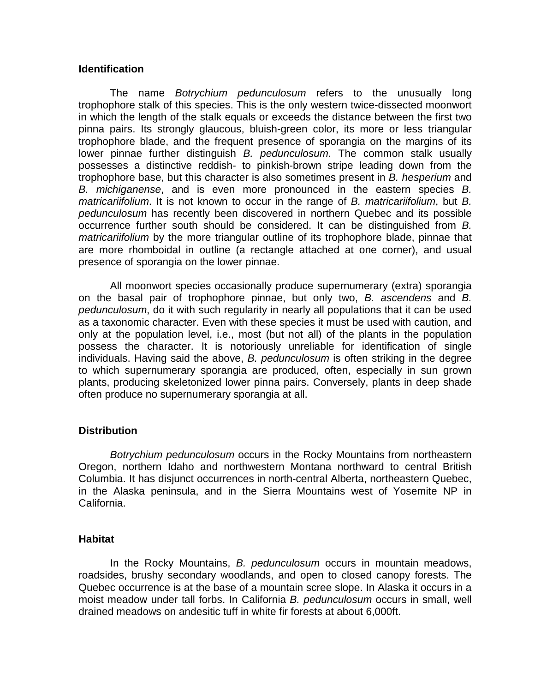## **Identification**

The name *Botrychium pedunculosum* refers to the unusually long trophophore stalk of this species. This is the only western twice-dissected moonwort in which the length of the stalk equals or exceeds the distance between the first two pinna pairs. Its strongly glaucous, bluish-green color, its more or less triangular trophophore blade, and the frequent presence of sporangia on the margins of its lower pinnae further distinguish *B. pedunculosum*. The common stalk usually possesses a distinctive reddish- to pinkish-brown stripe leading down from the trophophore base, but this character is also sometimes present in *B. hesperium* and *B. michiganense*, and is even more pronounced in the eastern species *B. matricariifolium*. It is not known to occur in the range of *B. matricariifolium*, but *B. pedunculosum* has recently been discovered in northern Quebec and its possible occurrence further south should be considered. It can be distinguished from *B. matricariifolium* by the more triangular outline of its trophophore blade, pinnae that are more rhomboidal in outline (a rectangle attached at one corner), and usual presence of sporangia on the lower pinnae.

All moonwort species occasionally produce supernumerary (extra) sporangia on the basal pair of trophophore pinnae, but only two, *B. ascendens* and *B. pedunculosum*, do it with such regularity in nearly all populations that it can be used as a taxonomic character. Even with these species it must be used with caution, and only at the population level, i.e., most (but not all) of the plants in the population possess the character. It is notoriously unreliable for identification of single individuals. Having said the above, *B. pedunculosum* is often striking in the degree to which supernumerary sporangia are produced, often, especially in sun grown plants, producing skeletonized lower pinna pairs. Conversely, plants in deep shade often produce no supernumerary sporangia at all.

## **Distribution**

*Botrychium pedunculosum* occurs in the Rocky Mountains from northeastern Oregon, northern Idaho and northwestern Montana northward to central British Columbia. It has disjunct occurrences in north-central Alberta, northeastern Quebec, in the Alaska peninsula, and in the Sierra Mountains west of Yosemite NP in California.

## **Habitat**

In the Rocky Mountains, *B. pedunculosum* occurs in mountain meadows, roadsides, brushy secondary woodlands, and open to closed canopy forests. The Quebec occurrence is at the base of a mountain scree slope. In Alaska it occurs in a moist meadow under tall forbs. In California *B. pedunculosum* occurs in small, well drained meadows on andesitic tuff in white fir forests at about 6,000ft.